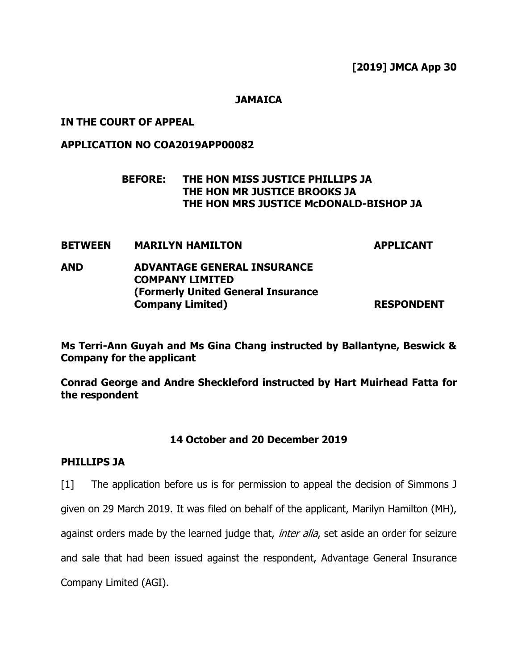**JAMAICA**

## **IN THE COURT OF APPEAL**

## **APPLICATION NO COA2019APP00082**

# **BEFORE: THE HON MISS JUSTICE PHILLIPS JA THE HON MR JUSTICE BROOKS JA THE HON MRS JUSTICE McDONALD-BISHOP JA**

### **BETWEEN MARILYN HAMILTON APPLICANT**

# **AND ADVANTAGE GENERAL INSURANCE COMPANY LIMITED (Formerly United General Insurance Company Limited)** RESPONDENT

**Ms Terri-Ann Guyah and Ms Gina Chang instructed by Ballantyne, Beswick & Company for the applicant**

**Conrad George and Andre Sheckleford instructed by Hart Muirhead Fatta for the respondent**

## **14 October and 20 December 2019**

## **PHILLIPS JA**

[1] The application before us is for permission to appeal the decision of Simmons J

given on 29 March 2019. It was filed on behalf of the applicant, Marilyn Hamilton (MH),

against orders made by the learned judge that, *inter alia*, set aside an order for seizure

and sale that had been issued against the respondent, Advantage General Insurance

Company Limited (AGI).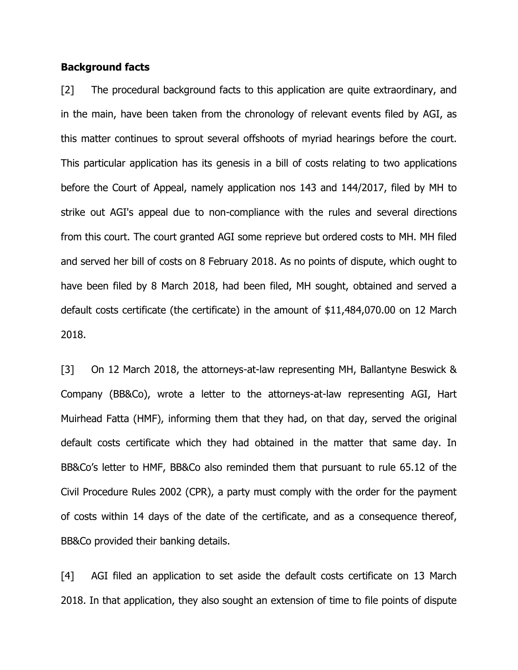### **Background facts**

[2] The procedural background facts to this application are quite extraordinary, and in the main, have been taken from the chronology of relevant events filed by AGI, as this matter continues to sprout several offshoots of myriad hearings before the court. This particular application has its genesis in a bill of costs relating to two applications before the Court of Appeal, namely application nos 143 and 144/2017, filed by MH to strike out AGI's appeal due to non-compliance with the rules and several directions from this court. The court granted AGI some reprieve but ordered costs to MH. MH filed and served her bill of costs on 8 February 2018. As no points of dispute, which ought to have been filed by 8 March 2018, had been filed, MH sought, obtained and served a default costs certificate (the certificate) in the amount of \$11,484,070.00 on 12 March 2018.

[3] On 12 March 2018, the attorneys-at-law representing MH, Ballantyne Beswick & Company (BB&Co), wrote a letter to the attorneys-at-law representing AGI, Hart Muirhead Fatta (HMF), informing them that they had, on that day, served the original default costs certificate which they had obtained in the matter that same day. In BB&Co's letter to HMF, BB&Co also reminded them that pursuant to rule 65.12 of the Civil Procedure Rules 2002 (CPR), a party must comply with the order for the payment of costs within 14 days of the date of the certificate, and as a consequence thereof, BB&Co provided their banking details.

[4] AGI filed an application to set aside the default costs certificate on 13 March 2018. In that application, they also sought an extension of time to file points of dispute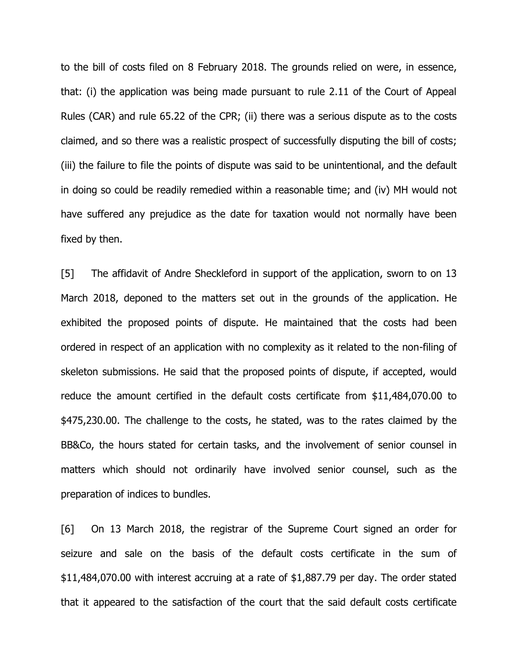to the bill of costs filed on 8 February 2018. The grounds relied on were, in essence, that: (i) the application was being made pursuant to rule 2.11 of the Court of Appeal Rules (CAR) and rule 65.22 of the CPR; (ii) there was a serious dispute as to the costs claimed, and so there was a realistic prospect of successfully disputing the bill of costs; (iii) the failure to file the points of dispute was said to be unintentional, and the default in doing so could be readily remedied within a reasonable time; and (iv) MH would not have suffered any prejudice as the date for taxation would not normally have been fixed by then.

[5] The affidavit of Andre Sheckleford in support of the application, sworn to on 13 March 2018, deponed to the matters set out in the grounds of the application. He exhibited the proposed points of dispute. He maintained that the costs had been ordered in respect of an application with no complexity as it related to the non-filing of skeleton submissions. He said that the proposed points of dispute, if accepted, would reduce the amount certified in the default costs certificate from \$11,484,070.00 to \$475,230.00. The challenge to the costs, he stated, was to the rates claimed by the BB&Co, the hours stated for certain tasks, and the involvement of senior counsel in matters which should not ordinarily have involved senior counsel, such as the preparation of indices to bundles.

[6] On 13 March 2018, the registrar of the Supreme Court signed an order for seizure and sale on the basis of the default costs certificate in the sum of \$11,484,070.00 with interest accruing at a rate of \$1,887.79 per day. The order stated that it appeared to the satisfaction of the court that the said default costs certificate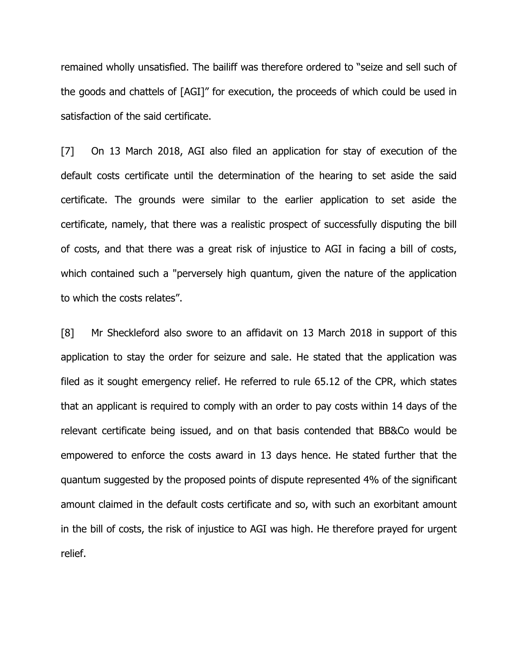remained wholly unsatisfied. The bailiff was therefore ordered to "seize and sell such of the goods and chattels of [AGI]" for execution, the proceeds of which could be used in satisfaction of the said certificate.

[7] On 13 March 2018, AGI also filed an application for stay of execution of the default costs certificate until the determination of the hearing to set aside the said certificate. The grounds were similar to the earlier application to set aside the certificate, namely, that there was a realistic prospect of successfully disputing the bill of costs, and that there was a great risk of injustice to AGI in facing a bill of costs, which contained such a "perversely high quantum, given the nature of the application to which the costs relates".

[8] Mr Sheckleford also swore to an affidavit on 13 March 2018 in support of this application to stay the order for seizure and sale. He stated that the application was filed as it sought emergency relief. He referred to rule 65.12 of the CPR, which states that an applicant is required to comply with an order to pay costs within 14 days of the relevant certificate being issued, and on that basis contended that BB&Co would be empowered to enforce the costs award in 13 days hence. He stated further that the quantum suggested by the proposed points of dispute represented 4% of the significant amount claimed in the default costs certificate and so, with such an exorbitant amount in the bill of costs, the risk of injustice to AGI was high. He therefore prayed for urgent relief.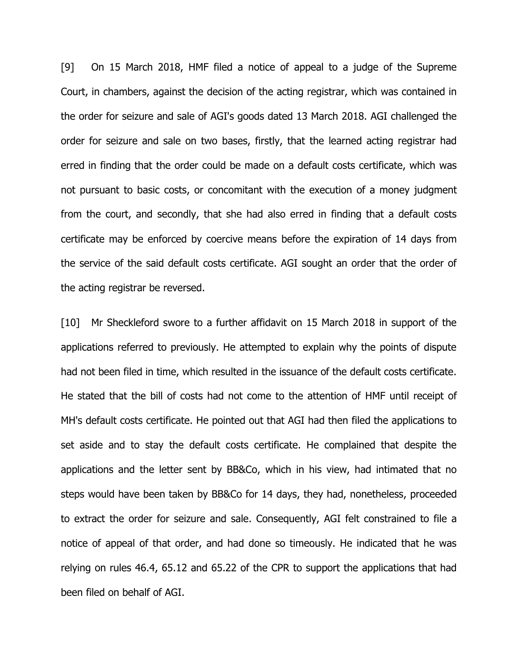[9] On 15 March 2018, HMF filed a notice of appeal to a judge of the Supreme Court, in chambers, against the decision of the acting registrar, which was contained in the order for seizure and sale of AGI's goods dated 13 March 2018. AGI challenged the order for seizure and sale on two bases, firstly, that the learned acting registrar had erred in finding that the order could be made on a default costs certificate, which was not pursuant to basic costs, or concomitant with the execution of a money judgment from the court, and secondly, that she had also erred in finding that a default costs certificate may be enforced by coercive means before the expiration of 14 days from the service of the said default costs certificate. AGI sought an order that the order of the acting registrar be reversed.

[10] Mr Sheckleford swore to a further affidavit on 15 March 2018 in support of the applications referred to previously. He attempted to explain why the points of dispute had not been filed in time, which resulted in the issuance of the default costs certificate. He stated that the bill of costs had not come to the attention of HMF until receipt of MH's default costs certificate. He pointed out that AGI had then filed the applications to set aside and to stay the default costs certificate. He complained that despite the applications and the letter sent by BB&Co, which in his view, had intimated that no steps would have been taken by BB&Co for 14 days, they had, nonetheless, proceeded to extract the order for seizure and sale. Consequently, AGI felt constrained to file a notice of appeal of that order, and had done so timeously. He indicated that he was relying on rules 46.4, 65.12 and 65.22 of the CPR to support the applications that had been filed on behalf of AGI.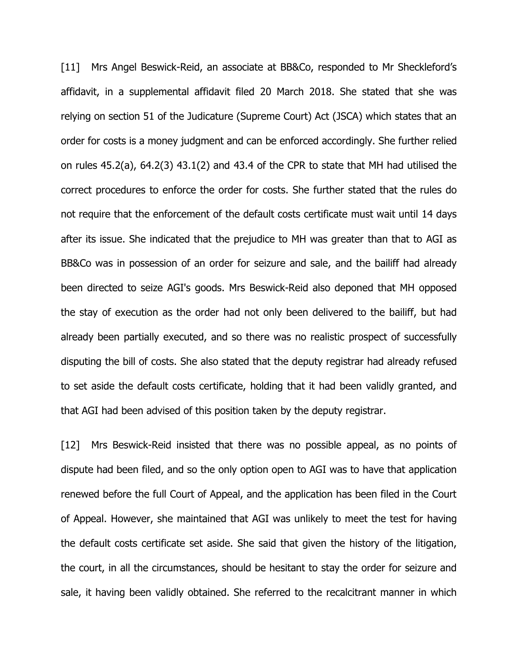[11] Mrs Angel Beswick-Reid, an associate at BB&Co, responded to Mr Sheckleford's affidavit, in a supplemental affidavit filed 20 March 2018. She stated that she was relying on section 51 of the Judicature (Supreme Court) Act (JSCA) which states that an order for costs is a money judgment and can be enforced accordingly. She further relied on rules 45.2(a), 64.2(3) 43.1(2) and 43.4 of the CPR to state that MH had utilised the correct procedures to enforce the order for costs. She further stated that the rules do not require that the enforcement of the default costs certificate must wait until 14 days after its issue. She indicated that the prejudice to MH was greater than that to AGI as BB&Co was in possession of an order for seizure and sale, and the bailiff had already been directed to seize AGI's goods. Mrs Beswick-Reid also deponed that MH opposed the stay of execution as the order had not only been delivered to the bailiff, but had already been partially executed, and so there was no realistic prospect of successfully disputing the bill of costs. She also stated that the deputy registrar had already refused to set aside the default costs certificate, holding that it had been validly granted, and that AGI had been advised of this position taken by the deputy registrar.

[12] Mrs Beswick-Reid insisted that there was no possible appeal, as no points of dispute had been filed, and so the only option open to AGI was to have that application renewed before the full Court of Appeal, and the application has been filed in the Court of Appeal. However, she maintained that AGI was unlikely to meet the test for having the default costs certificate set aside. She said that given the history of the litigation, the court, in all the circumstances, should be hesitant to stay the order for seizure and sale, it having been validly obtained. She referred to the recalcitrant manner in which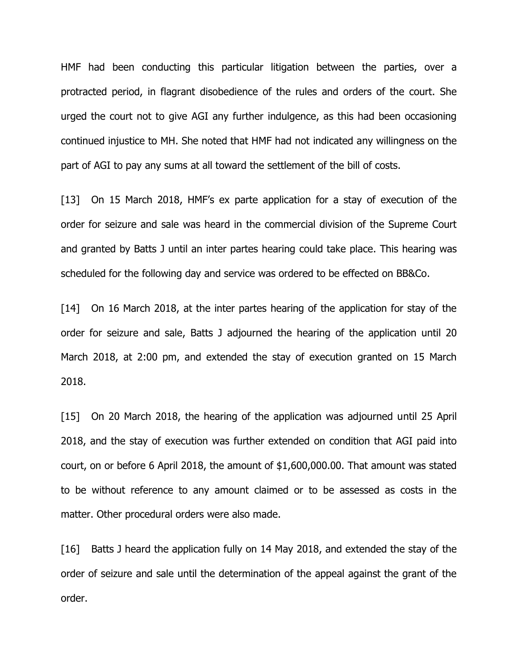HMF had been conducting this particular litigation between the parties, over a protracted period, in flagrant disobedience of the rules and orders of the court. She urged the court not to give AGI any further indulgence, as this had been occasioning continued injustice to MH. She noted that HMF had not indicated any willingness on the part of AGI to pay any sums at all toward the settlement of the bill of costs.

[13] On 15 March 2018, HMF's ex parte application for a stay of execution of the order for seizure and sale was heard in the commercial division of the Supreme Court and granted by Batts J until an inter partes hearing could take place. This hearing was scheduled for the following day and service was ordered to be effected on BB&Co.

[14] On 16 March 2018, at the inter partes hearing of the application for stay of the order for seizure and sale, Batts J adjourned the hearing of the application until 20 March 2018, at 2:00 pm, and extended the stay of execution granted on 15 March 2018.

[15] On 20 March 2018, the hearing of the application was adjourned until 25 April 2018, and the stay of execution was further extended on condition that AGI paid into court, on or before 6 April 2018, the amount of \$1,600,000.00. That amount was stated to be without reference to any amount claimed or to be assessed as costs in the matter. Other procedural orders were also made.

[16] Batts J heard the application fully on 14 May 2018, and extended the stay of the order of seizure and sale until the determination of the appeal against the grant of the order.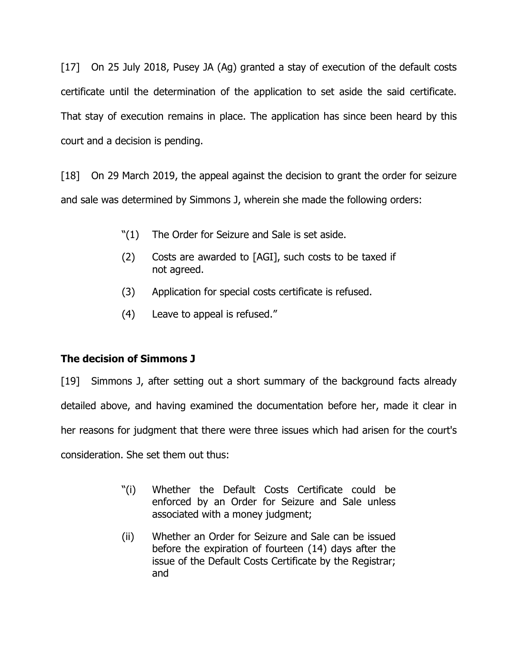[17] On 25 July 2018, Pusey JA (Ag) granted a stay of execution of the default costs certificate until the determination of the application to set aside the said certificate. That stay of execution remains in place. The application has since been heard by this court and a decision is pending.

[18] On 29 March 2019, the appeal against the decision to grant the order for seizure and sale was determined by Simmons J, wherein she made the following orders:

- "(1) The Order for Seizure and Sale is set aside.
- (2) Costs are awarded to [AGI], such costs to be taxed if not agreed.
- (3) Application for special costs certificate is refused.
- (4) Leave to appeal is refused."

# **The decision of Simmons J**

[19] Simmons J, after setting out a short summary of the background facts already detailed above, and having examined the documentation before her, made it clear in her reasons for judgment that there were three issues which had arisen for the court's consideration. She set them out thus:

- "(i) Whether the Default Costs Certificate could be enforced by an Order for Seizure and Sale unless associated with a money judgment;
- (ii) Whether an Order for Seizure and Sale can be issued before the expiration of fourteen (14) days after the issue of the Default Costs Certificate by the Registrar; and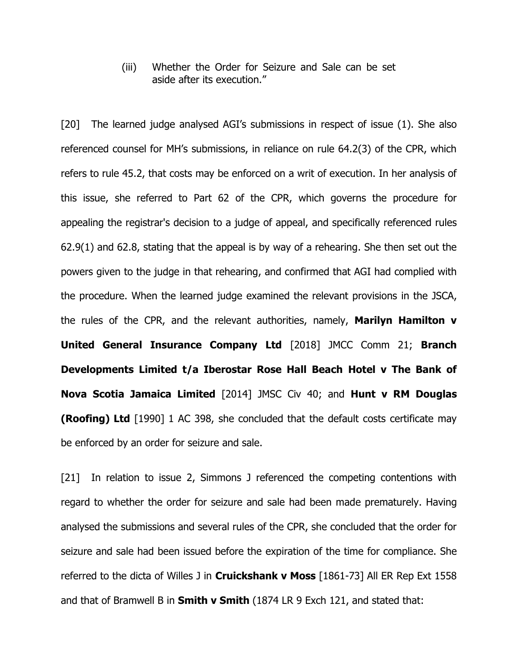(iii) Whether the Order for Seizure and Sale can be set aside after its execution."

[20] The learned judge analysed AGI's submissions in respect of issue (1). She also referenced counsel for MH's submissions, in reliance on rule 64.2(3) of the CPR, which refers to rule 45.2, that costs may be enforced on a writ of execution. In her analysis of this issue, she referred to Part 62 of the CPR, which governs the procedure for appealing the registrar's decision to a judge of appeal, and specifically referenced rules 62.9(1) and 62.8, stating that the appeal is by way of a rehearing. She then set out the powers given to the judge in that rehearing, and confirmed that AGI had complied with the procedure. When the learned judge examined the relevant provisions in the JSCA, the rules of the CPR, and the relevant authorities, namely, **Marilyn Hamilton v United General Insurance Company Ltd** [2018] JMCC Comm 21; **Branch Developments Limited t/a Iberostar Rose Hall Beach Hotel v The Bank of Nova Scotia Jamaica Limited** [2014] JMSC Civ 40; and **Hunt v RM Douglas (Roofing) Ltd** [1990] 1 AC 398, she concluded that the default costs certificate may be enforced by an order for seizure and sale.

[21] In relation to issue 2, Simmons J referenced the competing contentions with regard to whether the order for seizure and sale had been made prematurely. Having analysed the submissions and several rules of the CPR, she concluded that the order for seizure and sale had been issued before the expiration of the time for compliance. She referred to the dicta of Willes J in **Cruickshank v Moss** [1861-73] All ER Rep Ext 1558 and that of Bramwell B in **Smith v Smith** (1874 LR 9 Exch 121, and stated that: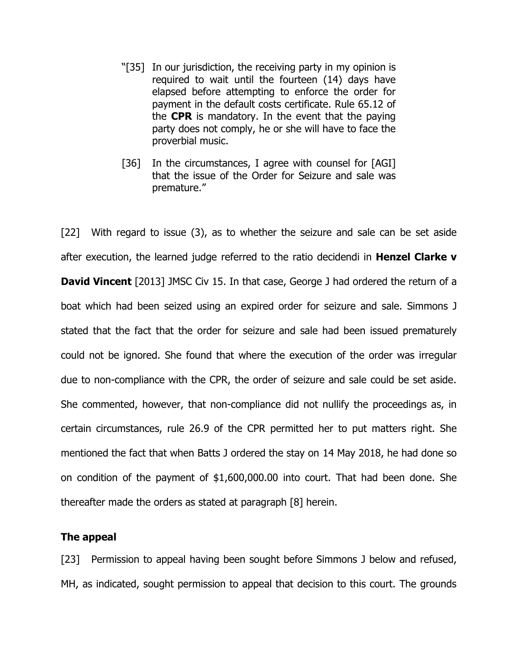- "[35] In our jurisdiction, the receiving party in my opinion is required to wait until the fourteen (14) days have elapsed before attempting to enforce the order for payment in the default costs certificate. Rule 65.12 of the **CPR** is mandatory. In the event that the paying party does not comply, he or she will have to face the proverbial music.
- [36] In the circumstances, I agree with counsel for [AGI] that the issue of the Order for Seizure and sale was premature."

[22] With regard to issue (3), as to whether the seizure and sale can be set aside after execution, the learned judge referred to the ratio decidendi in **Henzel Clarke v David Vincent** [2013] JMSC Civ 15. In that case, George J had ordered the return of a boat which had been seized using an expired order for seizure and sale. Simmons J stated that the fact that the order for seizure and sale had been issued prematurely could not be ignored. She found that where the execution of the order was irregular due to non-compliance with the CPR, the order of seizure and sale could be set aside. She commented, however, that non-compliance did not nullify the proceedings as, in certain circumstances, rule 26.9 of the CPR permitted her to put matters right. She mentioned the fact that when Batts J ordered the stay on 14 May 2018, he had done so on condition of the payment of \$1,600,000.00 into court. That had been done. She thereafter made the orders as stated at paragraph [8] herein.

### **The appeal**

[23] Permission to appeal having been sought before Simmons J below and refused, MH, as indicated, sought permission to appeal that decision to this court. The grounds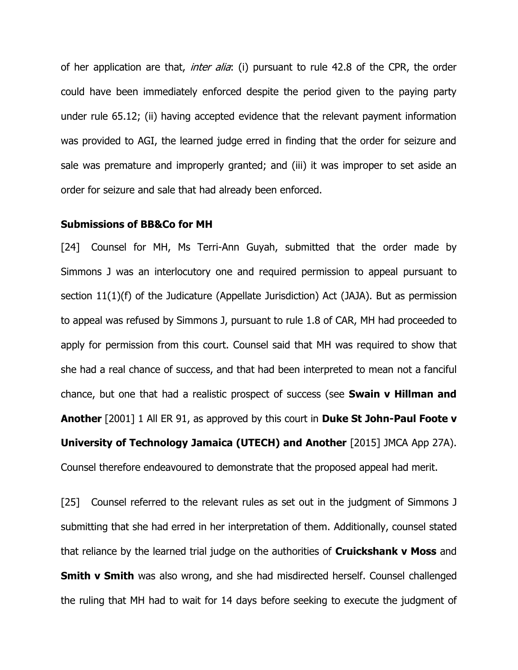of her application are that, *inter alia*: (i) pursuant to rule 42.8 of the CPR, the order could have been immediately enforced despite the period given to the paying party under rule 65.12; (ii) having accepted evidence that the relevant payment information was provided to AGI, the learned judge erred in finding that the order for seizure and sale was premature and improperly granted; and (iii) it was improper to set aside an order for seizure and sale that had already been enforced.

### **Submissions of BB&Co for MH**

[24] Counsel for MH, Ms Terri-Ann Guyah, submitted that the order made by Simmons J was an interlocutory one and required permission to appeal pursuant to section 11(1)(f) of the Judicature (Appellate Jurisdiction) Act (JAJA). But as permission to appeal was refused by Simmons J, pursuant to rule 1.8 of CAR, MH had proceeded to apply for permission from this court. Counsel said that MH was required to show that she had a real chance of success, and that had been interpreted to mean not a fanciful chance, but one that had a realistic prospect of success (see **Swain v Hillman and Another** [2001] 1 All ER 91, as approved by this court in **Duke St John-Paul Foote v University of Technology Jamaica (UTECH) and Another** [2015] JMCA App 27A). Counsel therefore endeavoured to demonstrate that the proposed appeal had merit.

[25] Counsel referred to the relevant rules as set out in the judgment of Simmons J submitting that she had erred in her interpretation of them. Additionally, counsel stated that reliance by the learned trial judge on the authorities of **Cruickshank v Moss** and **Smith v Smith** was also wrong, and she had misdirected herself. Counsel challenged the ruling that MH had to wait for 14 days before seeking to execute the judgment of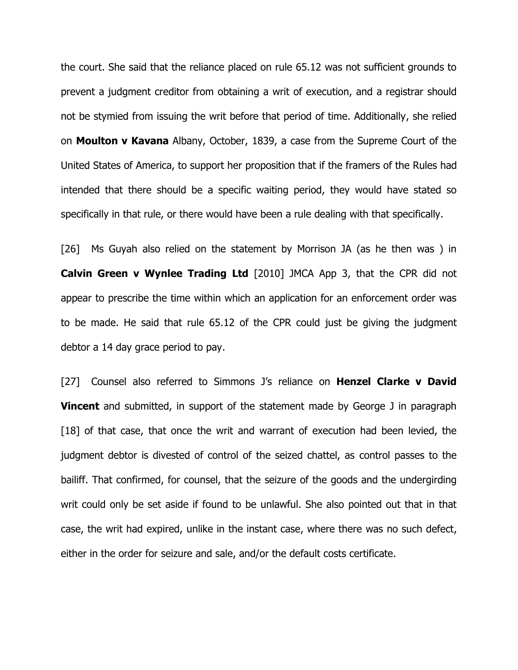the court. She said that the reliance placed on rule 65.12 was not sufficient grounds to prevent a judgment creditor from obtaining a writ of execution, and a registrar should not be stymied from issuing the writ before that period of time. Additionally, she relied on **Moulton v Kavana** Albany, October, 1839, a case from the Supreme Court of the United States of America, to support her proposition that if the framers of the Rules had intended that there should be a specific waiting period, they would have stated so specifically in that rule, or there would have been a rule dealing with that specifically.

[26] Ms Guyah also relied on the statement by Morrison JA (as he then was ) in **Calvin Green v Wynlee Trading Ltd** [2010] JMCA App 3, that the CPR did not appear to prescribe the time within which an application for an enforcement order was to be made. He said that rule 65.12 of the CPR could just be giving the judgment debtor a 14 day grace period to pay.

[27] Counsel also referred to Simmons J's reliance on **Henzel Clarke v David Vincent** and submitted, in support of the statement made by George J in paragraph [18] of that case, that once the writ and warrant of execution had been levied, the judgment debtor is divested of control of the seized chattel, as control passes to the bailiff. That confirmed, for counsel, that the seizure of the goods and the undergirding writ could only be set aside if found to be unlawful. She also pointed out that in that case, the writ had expired, unlike in the instant case, where there was no such defect, either in the order for seizure and sale, and/or the default costs certificate.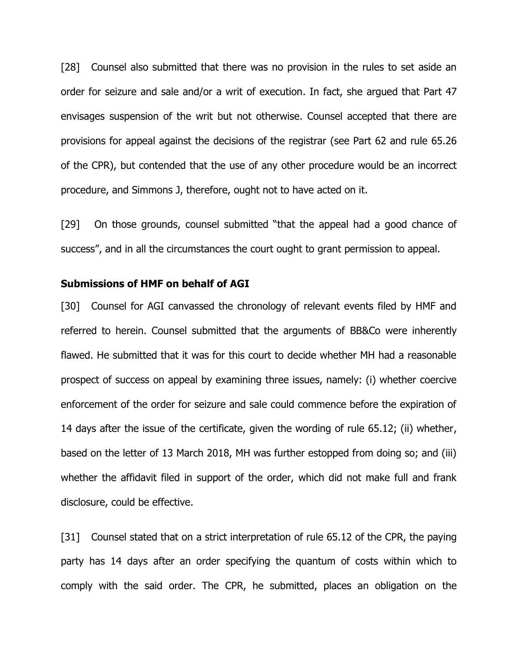[28] Counsel also submitted that there was no provision in the rules to set aside an order for seizure and sale and/or a writ of execution. In fact, she argued that Part 47 envisages suspension of the writ but not otherwise. Counsel accepted that there are provisions for appeal against the decisions of the registrar (see Part 62 and rule 65.26 of the CPR), but contended that the use of any other procedure would be an incorrect procedure, and Simmons J, therefore, ought not to have acted on it.

[29] On those grounds, counsel submitted "that the appeal had a good chance of success", and in all the circumstances the court ought to grant permission to appeal.

#### **Submissions of HMF on behalf of AGI**

[30] Counsel for AGI canvassed the chronology of relevant events filed by HMF and referred to herein. Counsel submitted that the arguments of BB&Co were inherently flawed. He submitted that it was for this court to decide whether MH had a reasonable prospect of success on appeal by examining three issues, namely: (i) whether coercive enforcement of the order for seizure and sale could commence before the expiration of 14 days after the issue of the certificate, given the wording of rule 65.12; (ii) whether, based on the letter of 13 March 2018, MH was further estopped from doing so; and (iii) whether the affidavit filed in support of the order, which did not make full and frank disclosure, could be effective.

[31] Counsel stated that on a strict interpretation of rule 65.12 of the CPR, the paying party has 14 days after an order specifying the quantum of costs within which to comply with the said order. The CPR, he submitted, places an obligation on the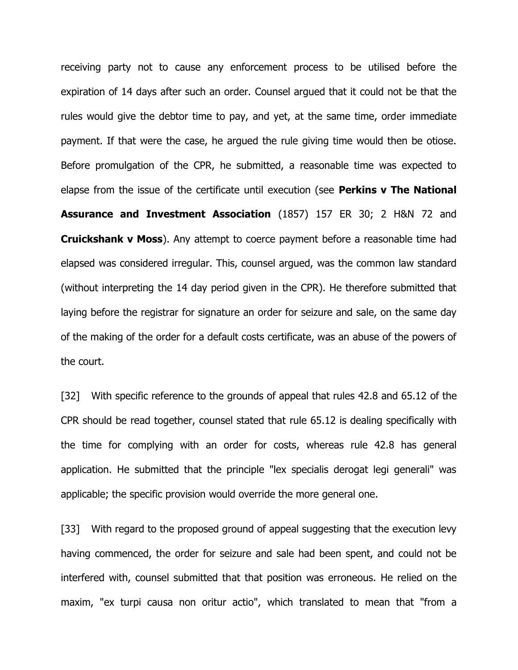receiving party not to cause any enforcement process to be utilised before the expiration of 14 days after such an order. Counsel argued that it could not be that the rules would give the debtor time to pay, and yet, at the same time, order immediate payment. If that were the case, he argued the rule giving time would then be otiose. Before promulgation of the CPR, he submitted, a reasonable time was expected to elapse from the issue of the certificate until execution (see **Perkins v The National Assurance and Investment Association** (1857) 157 ER 30; 2 H&N 72 and **Cruickshank v Moss**). Any attempt to coerce payment before a reasonable time had elapsed was considered irregular. This, counsel argued, was the common law standard (without interpreting the 14 day period given in the CPR). He therefore submitted that laying before the registrar for signature an order for seizure and sale, on the same day of the making of the order for a default costs certificate, was an abuse of the powers of the court.

[32] With specific reference to the grounds of appeal that rules 42.8 and 65.12 of the CPR should be read together, counsel stated that rule 65.12 is dealing specifically with the time for complying with an order for costs, whereas rule 42.8 has general application. He submitted that the principle "lex specialis derogat legi generali" was applicable; the specific provision would override the more general one.

[33] With regard to the proposed ground of appeal suggesting that the execution levy having commenced, the order for seizure and sale had been spent, and could not be interfered with, counsel submitted that that position was erroneous. He relied on the maxim, "ex turpi causa non oritur actio", which translated to mean that "from a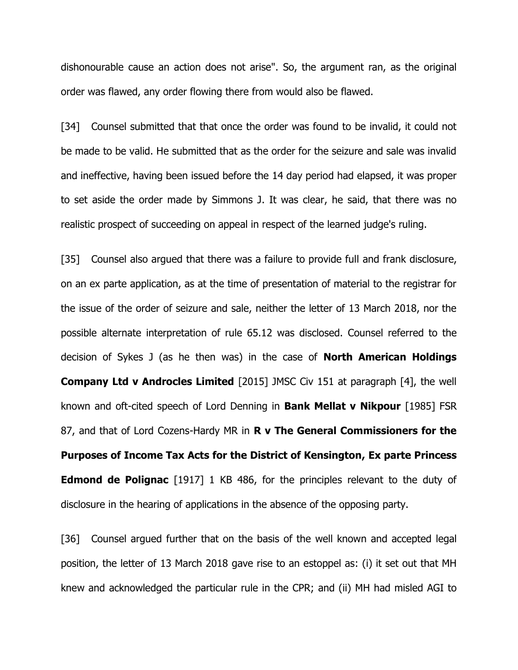dishonourable cause an action does not arise". So, the argument ran, as the original order was flawed, any order flowing there from would also be flawed.

[34] Counsel submitted that that once the order was found to be invalid, it could not be made to be valid. He submitted that as the order for the seizure and sale was invalid and ineffective, having been issued before the 14 day period had elapsed, it was proper to set aside the order made by Simmons J. It was clear, he said, that there was no realistic prospect of succeeding on appeal in respect of the learned judge's ruling.

[35] Counsel also argued that there was a failure to provide full and frank disclosure, on an ex parte application, as at the time of presentation of material to the registrar for the issue of the order of seizure and sale, neither the letter of 13 March 2018, nor the possible alternate interpretation of rule 65.12 was disclosed. Counsel referred to the decision of Sykes J (as he then was) in the case of **North American Holdings Company Ltd v Androcles Limited** [2015] JMSC Civ 151 at paragraph [4], the well known and oft-cited speech of Lord Denning in **Bank Mellat v Nikpour** [1985] FSR 87, and that of Lord Cozens-Hardy MR in **R v The General Commissioners for the Purposes of Income Tax Acts for the District of Kensington, Ex parte Princess Edmond de Polignac** [1917] 1 KB 486, for the principles relevant to the duty of disclosure in the hearing of applications in the absence of the opposing party.

[36] Counsel argued further that on the basis of the well known and accepted legal position, the letter of 13 March 2018 gave rise to an estoppel as: (i) it set out that MH knew and acknowledged the particular rule in the CPR; and (ii) MH had misled AGI to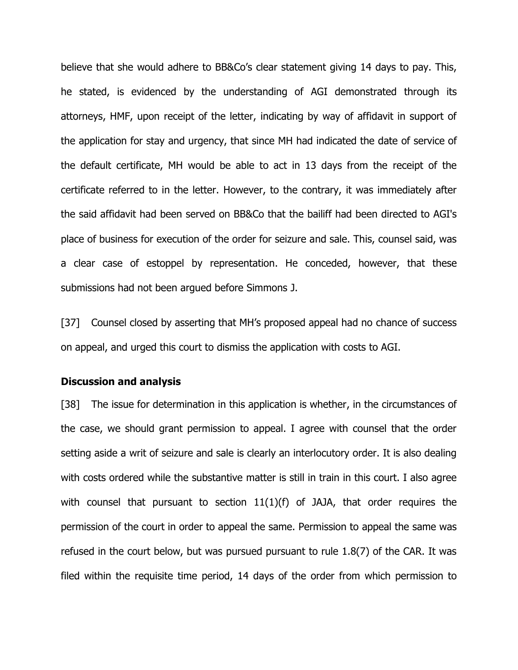believe that she would adhere to BB&Co's clear statement giving 14 days to pay. This, he stated, is evidenced by the understanding of AGI demonstrated through its attorneys, HMF, upon receipt of the letter, indicating by way of affidavit in support of the application for stay and urgency, that since MH had indicated the date of service of the default certificate, MH would be able to act in 13 days from the receipt of the certificate referred to in the letter. However, to the contrary, it was immediately after the said affidavit had been served on BB&Co that the bailiff had been directed to AGI's place of business for execution of the order for seizure and sale. This, counsel said, was a clear case of estoppel by representation. He conceded, however, that these submissions had not been argued before Simmons J.

[37] Counsel closed by asserting that MH's proposed appeal had no chance of success on appeal, and urged this court to dismiss the application with costs to AGI.

### **Discussion and analysis**

[38] The issue for determination in this application is whether, in the circumstances of the case, we should grant permission to appeal. I agree with counsel that the order setting aside a writ of seizure and sale is clearly an interlocutory order. It is also dealing with costs ordered while the substantive matter is still in train in this court. I also agree with counsel that pursuant to section  $11(1)(f)$  of JAJA, that order requires the permission of the court in order to appeal the same. Permission to appeal the same was refused in the court below, but was pursued pursuant to rule 1.8(7) of the CAR. It was filed within the requisite time period, 14 days of the order from which permission to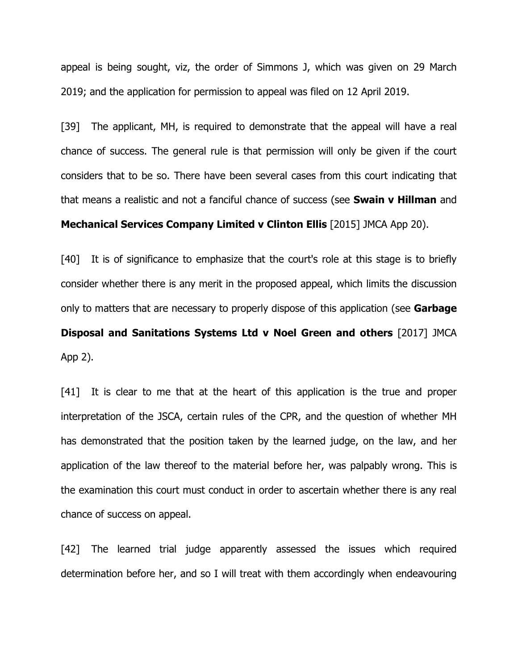appeal is being sought, viz, the order of Simmons J, which was given on 29 March 2019; and the application for permission to appeal was filed on 12 April 2019.

[39] The applicant, MH, is required to demonstrate that the appeal will have a real chance of success. The general rule is that permission will only be given if the court considers that to be so. There have been several cases from this court indicating that that means a realistic and not a fanciful chance of success (see **Swain v Hillman** and

## **Mechanical Services Company Limited v Clinton Ellis** [2015] JMCA App 20).

[40] It is of significance to emphasize that the court's role at this stage is to briefly consider whether there is any merit in the proposed appeal, which limits the discussion only to matters that are necessary to properly dispose of this application (see **Garbage Disposal and Sanitations Systems Ltd v Noel Green and others** [2017] JMCA App 2).

[41] It is clear to me that at the heart of this application is the true and proper interpretation of the JSCA, certain rules of the CPR, and the question of whether MH has demonstrated that the position taken by the learned judge, on the law, and her application of the law thereof to the material before her, was palpably wrong. This is the examination this court must conduct in order to ascertain whether there is any real chance of success on appeal.

[42] The learned trial judge apparently assessed the issues which required determination before her, and so I will treat with them accordingly when endeavouring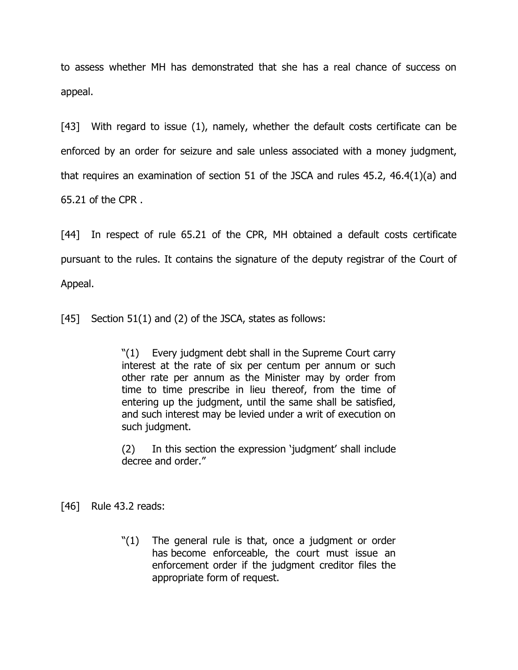to assess whether MH has demonstrated that she has a real chance of success on appeal.

[43] With regard to issue (1), namely, whether the default costs certificate can be enforced by an order for seizure and sale unless associated with a money judgment, that requires an examination of section 51 of the JSCA and rules 45.2, 46.4(1)(a) and 65.21 of the CPR .

[44] In respect of rule 65.21 of the CPR, MH obtained a default costs certificate pursuant to the rules. It contains the signature of the deputy registrar of the Court of Appeal.

[45] Section 51(1) and (2) of the JSCA, states as follows:

"(1) Every judgment debt shall in the Supreme Court carry interest at the rate of six per centum per annum or such other rate per annum as the Minister may by order from time to time prescribe in lieu thereof, from the time of entering up the judgment, until the same shall be satisfied, and such interest may be levied under a writ of execution on such judgment.

(2) In this section the expression 'judgment' shall include decree and order."

[46] Rule 43.2 reads:

"(1) The general rule is that, once a judgment or order has become enforceable, the court must issue an enforcement order if the judgment creditor files the appropriate form of request.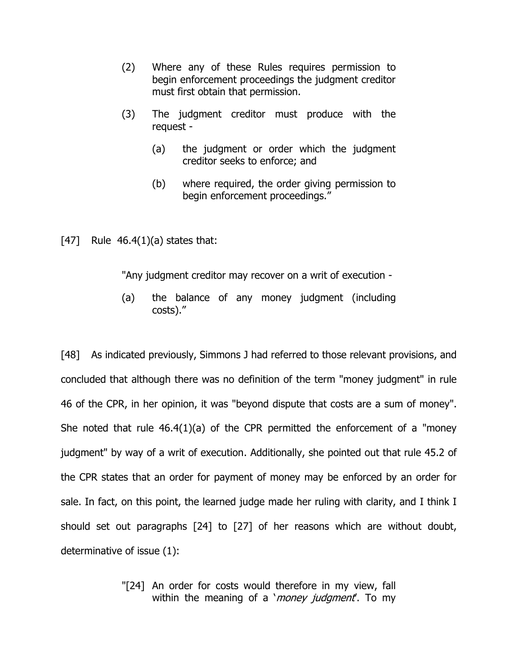- (2) Where any of these Rules requires permission to begin enforcement proceedings the judgment creditor must first obtain that permission.
- (3) The judgment creditor must produce with the request -
	- (a) the judgment or order which the judgment creditor seeks to enforce; and
	- (b) where required, the order giving permission to begin enforcement proceedings."

[47] Rule  $46.4(1)(a)$  states that:

"Any judgment creditor may recover on a writ of execution -

(a) the balance of any money judgment (including costs)."

[48] As indicated previously, Simmons J had referred to those relevant provisions, and concluded that although there was no definition of the term "money judgment" in rule 46 of the CPR, in her opinion, it was "beyond dispute that costs are a sum of money". She noted that rule  $46.4(1)(a)$  of the CPR permitted the enforcement of a "money" judgment" by way of a writ of execution. Additionally, she pointed out that rule 45.2 of the CPR states that an order for payment of money may be enforced by an order for sale. In fact, on this point, the learned judge made her ruling with clarity, and I think I should set out paragraphs [24] to [27] of her reasons which are without doubt, determinative of issue (1):

> "[24] An order for costs would therefore in my view, fall within the meaning of a '*money judgment*'. To my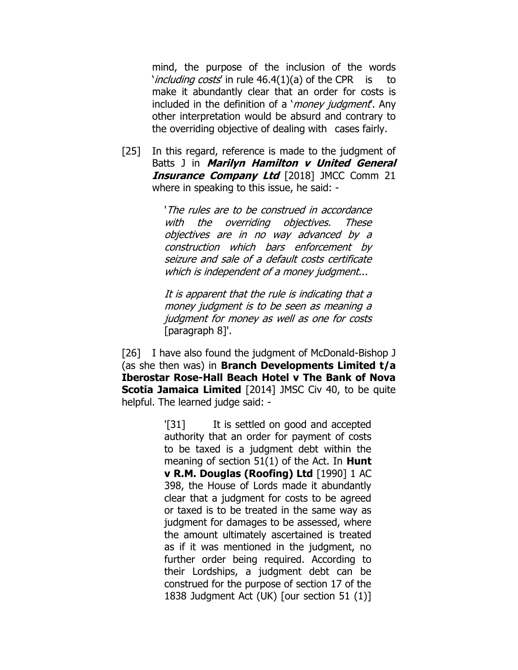mind, the purpose of the inclusion of the words '*including costs'* in rule 46.4(1)(a) of the CPR is to make it abundantly clear that an order for costs is included in the definition of a '*money judgment*'. Any other interpretation would be absurd and contrary to the overriding objective of dealing with cases fairly.

[25] In this regard, reference is made to the judgment of Batts J in **Marilyn Hamilton v United General Insurance Company Ltd** [2018] JMCC Comm 21 where in speaking to this issue, he said: -

> 'The rules are to be construed in accordance with the overriding objectives. These objectives are in no way advanced by a construction which bars enforcement by seizure and sale of a default costs certificate which is independent of a money judgment...

> It is apparent that the rule is indicating that a money judgment is to be seen as meaning a judgment for money as well as one for costs [paragraph 8]'.

[26] I have also found the judgment of McDonald-Bishop J (as she then was) in **Branch Developments Limited t/a Iberostar Rose-Hall Beach Hotel v The Bank of Nova Scotia Jamaica Limited** [2014] JMSC Civ 40, to be quite helpful. The learned judge said: -

> '[31] It is settled on good and accepted authority that an order for payment of costs to be taxed is a judgment debt within the meaning of section 51(1) of the Act. In **Hunt v R.M. Douglas (Roofing) Ltd** [1990] 1 AC 398, the House of Lords made it abundantly clear that a judgment for costs to be agreed or taxed is to be treated in the same way as judgment for damages to be assessed, where the amount ultimately ascertained is treated as if it was mentioned in the judgment, no further order being required. According to their Lordships, a judgment debt can be construed for the purpose of section 17 of the 1838 Judgment Act (UK) [our section 51 (1)]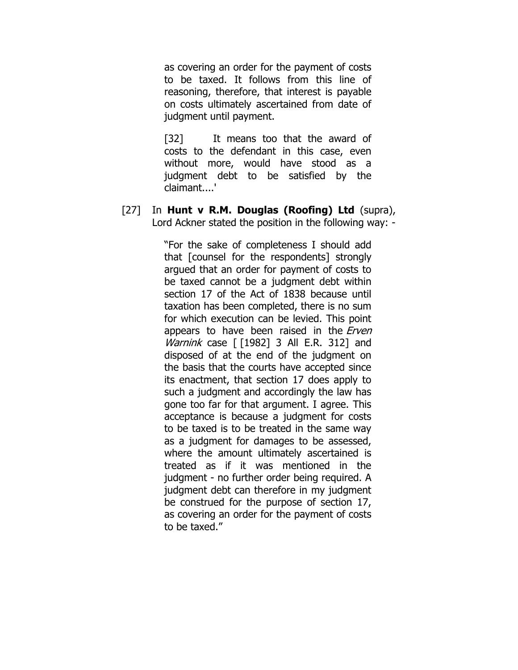as covering an order for the payment of costs to be taxed. It follows from this line of reasoning, therefore, that interest is payable on costs ultimately ascertained from date of judgment until payment.

[32] It means too that the award of costs to the defendant in this case, even without more, would have stood as a judgment debt to be satisfied by the claimant....'

[27] In **Hunt v R.M. Douglas (Roofing) Ltd** (supra), Lord Ackner stated the position in the following way: -

> "For the sake of completeness I should add that [counsel for the respondents] strongly argued that an order for payment of costs to be taxed cannot be a judgment debt within section 17 of the Act of 1838 because until taxation has been completed, there is no sum for which execution can be levied. This point appears to have been raised in the *Erven Warnink* case  $\lceil$  [1982] 3 All E.R. 312] and disposed of at the end of the judgment on the basis that the courts have accepted since its enactment, that section 17 does apply to such a judgment and accordingly the law has gone too far for that argument. I agree. This acceptance is because a judgment for costs to be taxed is to be treated in the same way as a judgment for damages to be assessed, where the amount ultimately ascertained is treated as if it was mentioned in the judgment - no further order being required. A judgment debt can therefore in my judgment be construed for the purpose of section 17, as covering an order for the payment of costs to be taxed."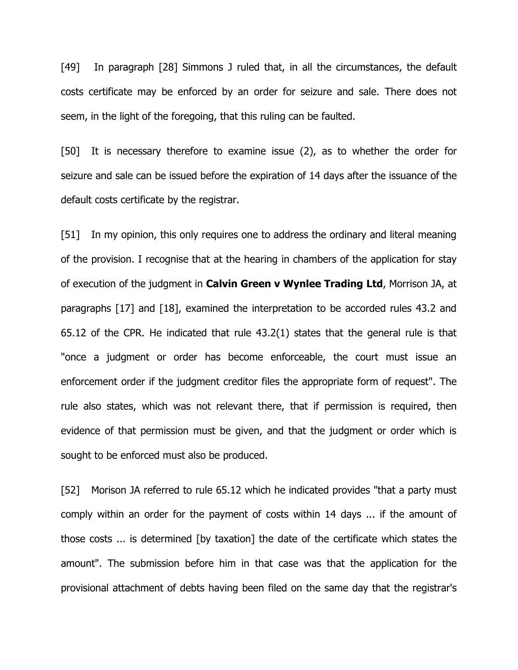[49] In paragraph [28] Simmons J ruled that, in all the circumstances, the default costs certificate may be enforced by an order for seizure and sale. There does not seem, in the light of the foregoing, that this ruling can be faulted.

[50] It is necessary therefore to examine issue (2), as to whether the order for seizure and sale can be issued before the expiration of 14 days after the issuance of the default costs certificate by the registrar.

[51] In my opinion, this only requires one to address the ordinary and literal meaning of the provision. I recognise that at the hearing in chambers of the application for stay of execution of the judgment in **Calvin Green v Wynlee Trading Ltd**, Morrison JA, at paragraphs [17] and [18], examined the interpretation to be accorded rules 43.2 and 65.12 of the CPR. He indicated that rule 43.2(1) states that the general rule is that "once a judgment or order has become enforceable, the court must issue an enforcement order if the judgment creditor files the appropriate form of request". The rule also states, which was not relevant there, that if permission is required, then evidence of that permission must be given, and that the judgment or order which is sought to be enforced must also be produced.

[52] Morison JA referred to rule 65.12 which he indicated provides "that a party must comply within an order for the payment of costs within 14 days ... if the amount of those costs ... is determined [by taxation] the date of the certificate which states the amount". The submission before him in that case was that the application for the provisional attachment of debts having been filed on the same day that the registrar's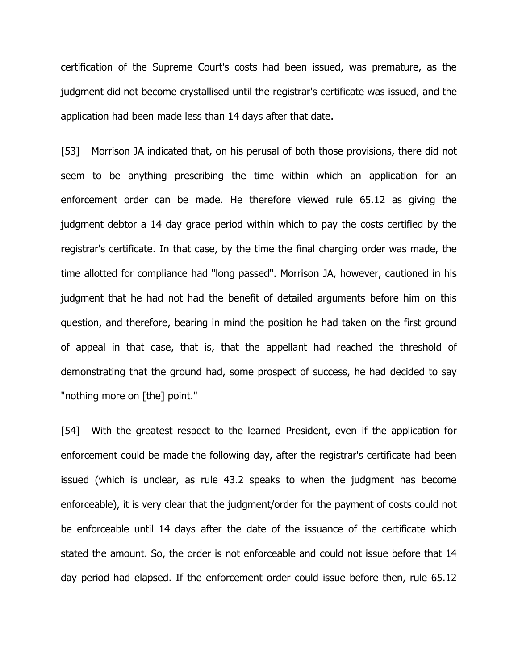certification of the Supreme Court's costs had been issued, was premature, as the judgment did not become crystallised until the registrar's certificate was issued, and the application had been made less than 14 days after that date.

[53] Morrison JA indicated that, on his perusal of both those provisions, there did not seem to be anything prescribing the time within which an application for an enforcement order can be made. He therefore viewed rule 65.12 as giving the judgment debtor a 14 day grace period within which to pay the costs certified by the registrar's certificate. In that case, by the time the final charging order was made, the time allotted for compliance had "long passed". Morrison JA, however, cautioned in his judgment that he had not had the benefit of detailed arguments before him on this question, and therefore, bearing in mind the position he had taken on the first ground of appeal in that case, that is, that the appellant had reached the threshold of demonstrating that the ground had, some prospect of success, he had decided to say "nothing more on [the] point."

[54] With the greatest respect to the learned President, even if the application for enforcement could be made the following day, after the registrar's certificate had been issued (which is unclear, as rule 43.2 speaks to when the judgment has become enforceable), it is very clear that the judgment/order for the payment of costs could not be enforceable until 14 days after the date of the issuance of the certificate which stated the amount. So, the order is not enforceable and could not issue before that 14 day period had elapsed. If the enforcement order could issue before then, rule 65.12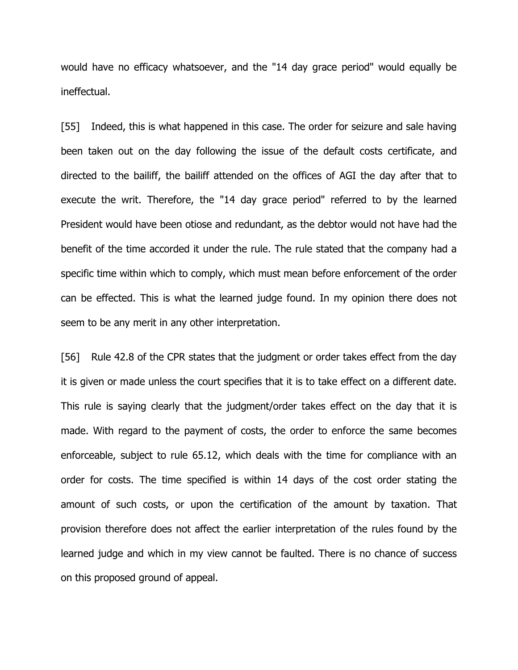would have no efficacy whatsoever, and the "14 day grace period" would equally be ineffectual.

[55] Indeed, this is what happened in this case. The order for seizure and sale having been taken out on the day following the issue of the default costs certificate, and directed to the bailiff, the bailiff attended on the offices of AGI the day after that to execute the writ. Therefore, the "14 day grace period" referred to by the learned President would have been otiose and redundant, as the debtor would not have had the benefit of the time accorded it under the rule. The rule stated that the company had a specific time within which to comply, which must mean before enforcement of the order can be effected. This is what the learned judge found. In my opinion there does not seem to be any merit in any other interpretation.

[56] Rule 42.8 of the CPR states that the judgment or order takes effect from the day it is given or made unless the court specifies that it is to take effect on a different date. This rule is saying clearly that the judgment/order takes effect on the day that it is made. With regard to the payment of costs, the order to enforce the same becomes enforceable, subject to rule 65.12, which deals with the time for compliance with an order for costs. The time specified is within 14 days of the cost order stating the amount of such costs, or upon the certification of the amount by taxation. That provision therefore does not affect the earlier interpretation of the rules found by the learned judge and which in my view cannot be faulted. There is no chance of success on this proposed ground of appeal.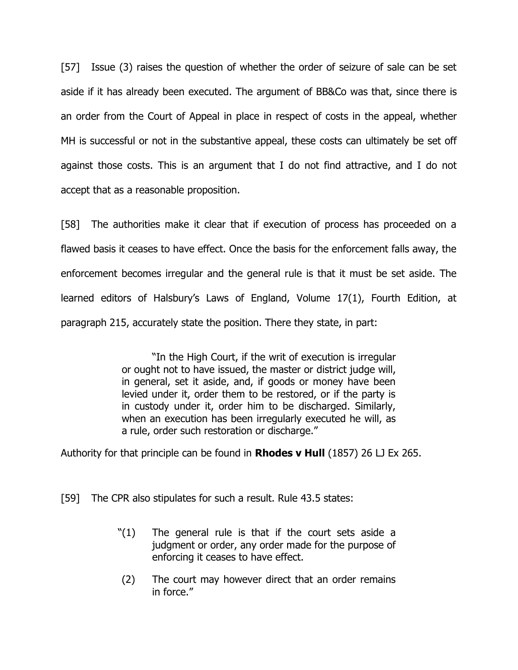[57] Issue (3) raises the question of whether the order of seizure of sale can be set aside if it has already been executed. The argument of BB&Co was that, since there is an order from the Court of Appeal in place in respect of costs in the appeal, whether MH is successful or not in the substantive appeal, these costs can ultimately be set off against those costs. This is an argument that I do not find attractive, and I do not accept that as a reasonable proposition.

[58] The authorities make it clear that if execution of process has proceeded on a flawed basis it ceases to have effect. Once the basis for the enforcement falls away, the enforcement becomes irregular and the general rule is that it must be set aside. The learned editors of Halsbury's Laws of England, Volume 17(1), Fourth Edition, at paragraph 215, accurately state the position. There they state, in part:

> "In the High Court, if the writ of execution is irregular or ought not to have issued, the master or district judge will, in general, set it aside, and, if goods or money have been levied under it, order them to be restored, or if the party is in custody under it, order him to be discharged. Similarly, when an execution has been irregularly executed he will, as a rule, order such restoration or discharge."

Authority for that principle can be found in **Rhodes v Hull** (1857) 26 LJ Ex 265.

[59] The CPR also stipulates for such a result. Rule 43.5 states:

- "(1) The general rule is that if the court sets aside a judgment or order, any order made for the purpose of enforcing it ceases to have effect.
- (2) The court may however direct that an order remains in force."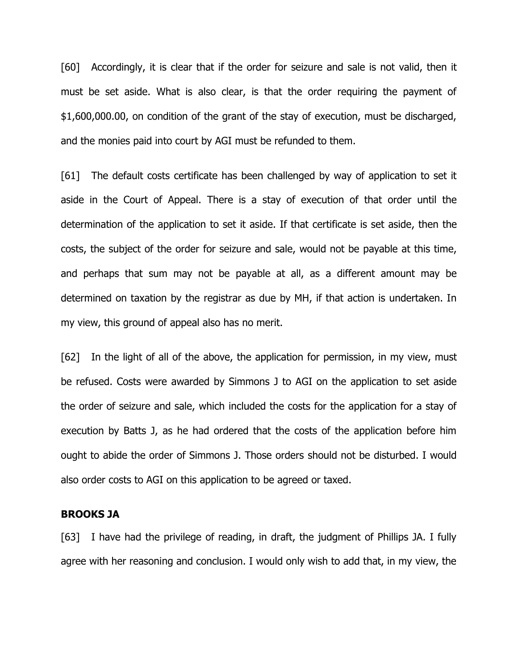[60] Accordingly, it is clear that if the order for seizure and sale is not valid, then it must be set aside. What is also clear, is that the order requiring the payment of \$1,600,000.00, on condition of the grant of the stay of execution, must be discharged, and the monies paid into court by AGI must be refunded to them.

[61] The default costs certificate has been challenged by way of application to set it aside in the Court of Appeal. There is a stay of execution of that order until the determination of the application to set it aside. If that certificate is set aside, then the costs, the subject of the order for seizure and sale, would not be payable at this time, and perhaps that sum may not be payable at all, as a different amount may be determined on taxation by the registrar as due by MH, if that action is undertaken. In my view, this ground of appeal also has no merit.

[62] In the light of all of the above, the application for permission, in my view, must be refused. Costs were awarded by Simmons J to AGI on the application to set aside the order of seizure and sale, which included the costs for the application for a stay of execution by Batts J, as he had ordered that the costs of the application before him ought to abide the order of Simmons J. Those orders should not be disturbed. I would also order costs to AGI on this application to be agreed or taxed.

### **BROOKS JA**

[63] I have had the privilege of reading, in draft, the judgment of Phillips JA. I fully agree with her reasoning and conclusion. I would only wish to add that, in my view, the